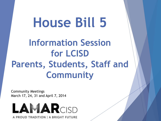# **House Bill 5**

## **Information Session for LCISD Parents, Students, Staff and Community**

Community Meetings March 17, 24, 31 and April 7, 2014



A PROUD TRADITION | A BRIGHT FUTURE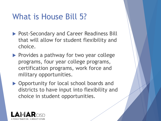#### What is House Bill 5?

- ▶ Post-Secondary and Career Readiness Bill that will allow for student flexibility and choice.
- $\blacktriangleright$  Provides a pathway for two year college programs, four year college programs, certification programs, work force and military opportunities.
- ▶ Opportunity for local school boards and districts to have input into flexibility and choice in student opportunities.

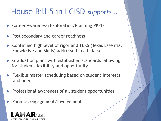#### House Bill 5 in LCISD *supports ...*

- ▶ Career Awareness/Exploration/Planning PK-12
- Post secondary and career readiness
- Continued high level of rigor and TEKS (Texas Essential Knowledge and Skills) addressed in all classes
- Graduation plans with established standards allowing for student flexibility and opportunity
- **Flexible master scheduling based on student interests** and needs
- $\blacktriangleright$  Professional awareness of all student opportunities
	- Parental engagement/involvement

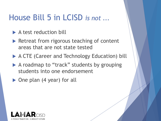#### House Bill 5 in LCISD *is not ...*

- ▶ A test reduction bill
- Retreat from rigorous teaching of content areas that are not state tested
- ▶ A CTE (Career and Technology Education) bill
- A roadmap to "track" students by grouping students into one endorsement
- ▶ One plan (4 year) for all

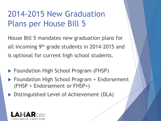#### 2014-2015 New Graduation Plans per House Bill 5

House Bill 5 mandates new graduation plans for all incoming 9th grade students in 2014-2015 and is optional for current high school students.

- ▶ Foundation High School Program (FHSP)
- ▶ Foundation High School Program + Endorsement (FHSP + Endorsement or FHSP+)
- ▶ Distinguished Level of Achievement (DLA)

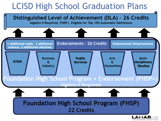### LCISD High School Graduation Plans

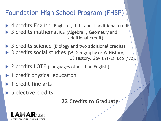#### Foundation High School Program (FHSP)

- ▶ 4 credits English (English I, II, III and 1 additional credit)
- ▶ 3 credits mathematics (Algebra I, Geometry and 1 additional credit)
- ▶ 3 credits science (Biology and two additional credits)
- ▶ 3 credits social studies (W. Geography or W History, US History, Gov't (1/2), Eco (1/2),
- ▶ 2 credits LOTE (Languages other than English)
- ▶ 1 credit physical education
- $\blacktriangleright$  1 credit fine arts
- $\triangleright$  5 elective credits

**22 Credits to Graduate**

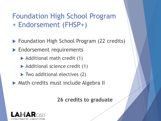#### Foundation High School Program + Endorsement (FHSP+)

- ▶ Foundation High School Program (22 credits)
- **Endorsement requirements** 
	- ▶ Additional math credit (1)
	- Additional science credit (1)
	- ▶ Two additional electives (2)
- ▶ Math credits must include Algebra II

**26 credits to graduate**

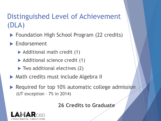#### Distinguished Level of Achievement (DLA)

- ▶ Foundation High School Program (22 credits)
- **Endorsement** 
	- Additional math credit (1)
	- ▶ Additional science credit (1)
	- ▶ Two additional electives (2)
- **Math credits must include Algebra II**
- Required for top 10% automatic college admission (UT exception – 7% in 2014)

**26 Credits to Graduate**

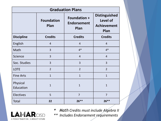| <b>Graduation Plans</b> |                           |                                                   |                                                                |
|-------------------------|---------------------------|---------------------------------------------------|----------------------------------------------------------------|
|                         | <b>Foundation</b><br>Plan | <b>Foundation +</b><br><b>Endorsement</b><br>Plan | <b>Distinguished</b><br>Level of<br><b>Achievement</b><br>Plan |
| <b>Discipline</b>       | <b>Credits</b>            | <b>Credits</b>                                    | <b>Credits</b>                                                 |
| English                 | $\overline{4}$            | $\overline{4}$                                    | $\overline{4}$                                                 |
| Math                    | 3                         | $4*$                                              | $4*$                                                           |
| Science                 | $\overline{3}$            | $\overline{4}$                                    | $\overline{4}$                                                 |
| Soc. Studies            | $\overline{3}$            | $\overline{3}$                                    | $\overline{3}$                                                 |
| <b>LOTE</b>             | $\overline{2}$            | $\overline{2}$                                    | $\overline{2}$                                                 |
| <b>Fine Arts</b>        | $\mathbf{1}$              | $\mathbf{1}$                                      | $\mathbf{1}$                                                   |
| Physical<br>Education   | $\mathbf{1}$              | $\mathbf{1}$                                      | $\mathbf{1}$                                                   |
| <b>Electives</b>        | 5                         | $\overline{7}$                                    | $\overline{7}$                                                 |
| <b>Total</b>            | 22                        | $26***$                                           | $26***$                                                        |



- *\* Math Credits must include Algebra II*
- *\*\* Includes Endorsement requirements*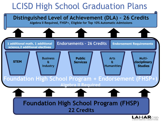### LCISD High School Graduation Plans

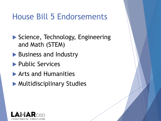#### House Bill 5 Endorsements

- ▶ Science, Technology, Engineering and Math (STEM)
- **Business and Industry**
- **Public Services**
- Arts and Humanities
- **Multidisciplinary Studies**

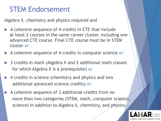#### STEM Endorsement

Algebra II, chemistry and physics required and

- A coherent sequence of 4 credits in CTE that include at least 2 courses in the same career cluster, including one advanced CTE course. Final CTE course must be in STEM cluster *or*
- A coherent sequence of 4 credits in computer science *or*
- ▶ 3 credits in math (Algebra II and 2 additional math classes for which Algebra II is a prerequisite) *or*
- ▶ 4 credits in science (chemistry and physics and two additional advanced science credits) *or*
- A coherent sequence of 3 additional credits from no more than two categories (STEM, math, computer science, science) in addition to Algebra II, chemistry, and physics.

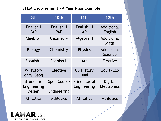#### **STEM Endorsement - 4 Year Plan Example**

| 9th                                   | 10th                                    | 11th                         | 12th                          |
|---------------------------------------|-----------------------------------------|------------------------------|-------------------------------|
| English I<br><b>PAP</b>               | English II<br><b>PAP</b>                | English III<br><b>AP</b>     | Additional<br>English         |
| Algebra I                             | Geometry                                | Algebra II                   | Additional<br>Math            |
| <b>Biology</b>                        | Chemistry                               | <b>Physics</b>               | Additional<br>Science         |
| Spanish I                             | Spanish II                              | Art                          | Elective                      |
| <b>W</b> History<br>or W Geog         | Elective                                | <b>US History</b><br>Dual    | Gov't/Eco                     |
| Introduction<br>Engineering<br>Design | <b>Spec Course</b><br>In<br>Engineering | Principles of<br>Engineering | Digital<br><b>Electronics</b> |
| <b>Athletics</b>                      | <b>Athletics</b>                        | <b>Athletics</b>             | <b>Athletics</b>              |

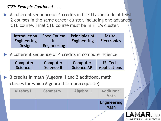*STEM Example Continued . . .*

 A coherent sequence of 4 credits in CTE that include at least 2 courses in the same career cluster, including one advanced CTE course. Final CTE course must be in STEM cluster.

| <b>Introduction</b> | <b>Spec Course</b> | <b>Principles of</b> | <b>Digital</b>     |
|---------------------|--------------------|----------------------|--------------------|
| <b>Engineering</b>  | <u>In</u>          | <b>Engineering</b>   | <b>Electronics</b> |
| <b>Design</b>       | <b>Engineering</b> |                      |                    |

A coherent sequence of 4 credits in computer science

| Computer  | Computer   | Computer          | <b>IS: Tech</b>     |
|-----------|------------|-------------------|---------------------|
| Science I | Science II | <b>Science AP</b> | <b>Applications</b> |

 3 credits in math (Algebra II and 2 additional math classes for which Algebra II is a prerequisite)



A PROUD TRADITION | A BRIGHT FUTURE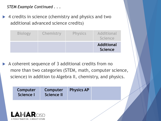*STEM Example Continued . . .*

▶ 4 credits in science (chemistry and physics and two additional advanced science credits)

| <b>Biology</b> | Chemistry | <b>Physics</b> | <b>Additional</b><br><b>Science</b> |
|----------------|-----------|----------------|-------------------------------------|
|                |           |                | <b>Additional</b><br><b>Science</b> |

A coherent sequence of 3 additional credits from no more than two categories (STEM, math, computer science, science) in addition to Algebra II, chemistry, and physics.

| Computer<br>Science I | <b>Computer</b><br>Science II | <b>Physics AP</b> |  |
|-----------------------|-------------------------------|-------------------|--|
|                       |                               |                   |  |

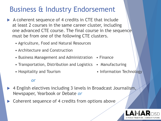#### Business & Industry Endorsement

- A coherent sequence of 4 credits in CTE that include at least 2 courses in the same career cluster, including one advanced CTE course. The final course in the sequence must be from one of the following CTE clusters.
	- Agriculture, Food and Natural Resources
	- Architecture and Construction
	- Business Management and Administration Finance
	- Transportation, Distribution and Logistics Manufacturing
	-

#### *or*

- 4 English electives including 3 levels in Broadcast Journalism, Newspaper, Yearbook or Debate *or*
- Coherent sequence of 4 credits from options above
- 
- Hospitality and Tourism Information Technology

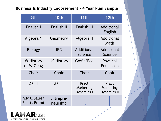#### **Business & Industry Endorsement - 4 Year Plan Sample**

| 9th                                 | 10th                  | 11th                                    | 12th                                     |
|-------------------------------------|-----------------------|-----------------------------------------|------------------------------------------|
| English I                           | English II            | English III                             | Additional<br>English                    |
| Algebra 1                           | Geometry              | Algebra II                              | Additional<br>Math                       |
| <b>Biology</b>                      | <b>IPC</b>            | Additional<br><b>Science</b>            | Additional<br>Science                    |
| W History<br>or W Geog              | <b>US History</b>     | Gov't/Eco                               | Physical<br>Education                    |
| Choir                               | Choir                 | Choir                                   | Choir                                    |
| ASL I                               | <b>ASL II</b>         | Pract<br>Marketing<br><b>Dynamics I</b> | Pract<br>Marketing<br><b>Dynamics II</b> |
| Adv & Sales/<br><b>Sports Entmt</b> | Entrepre-<br>neurship |                                         |                                          |

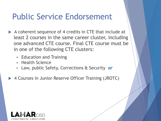#### Public Service Endorsement

- A coherent sequence of 4 credits in CTE that include at least 2 courses in the same career cluster, including one advanced CTE course. Final CTE course must be in one of the following CTE clusters:
	- **Education and Training**
	- **Health Science**
	- Law, public Safety, Corrections & Security *or*
- ▶ 4 Courses in Junior Reserve Officer Training (JROTC)

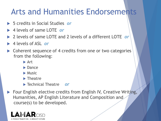#### Arts and Humanities Endorsements

- 5 credits in Social Studies *or*
- 4 levels of same LOTE *or*
- 2 levels of same LOTE and 2 levels of a different LOTE *or*
- 4 levels of ASL *or*
- ▶ Coherent sequence of 4 credits from one or two categories from the following:
	- **Art**
	- $\blacktriangleright$  Dance
	- $\blacktriangleright$  Music
	- $\blacktriangleright$  Theatre
	- Technical Theatre *or*
- ▶ Four English elective credits from English IV, Creative Writing, Humanities, AP English Literature and Composition and course(s) to be developed.

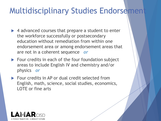#### **Multidisciplinary Studies Endorsement**

- ▶ 4 advanced courses that prepare a student to enter the workforce successfully or postsecondary education without remediation from within one endorsement area or among endorsement areas that are not in a coherent sequence *or*
- Four credits in each of the four foundation subject areas to include English IV and chemistry and/or physics *or*
- ▶ Four credits in AP or dual credit selected from English, math, science, social studies, economics, LOTE or fine arts

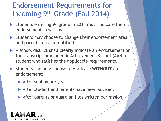#### Endorsement Requirements for Incoming 9th Grade (Fall 2014)

- Students entering 9<sup>th</sup> grade in 2014 must indicate their endorsement in writing.
- Students may choose to change their endorsement area and parents must be notified.
- A school district shall clearly indicate an endorsement on the transcript or Academic Achievement Record (AAR) of a student who satisfies the applicable requirements.
- Students can only choose to graduate **WITHOUT** an endorsement:
	- **After sophomore year**
	- After student and parents have been advised.
	- After parents or guardian files written permission.

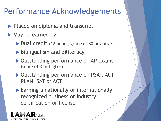#### Performance Acknowledgements

- Placed on diploma and transcript
- $\blacktriangleright$  May be earned by
	- ▶ Dual credit (12 hours, grade of 80 or above)
	- ▶ Bilingualism and biliteracy
	- ▶ Outstanding performance on AP exams (score of 3 or higher)
	- ▶ Outstanding performance on PSAT, ACT-PLAN, SAT or ACT
	- ▶ Earning a nationally or internationally recognized business or industry certification or license

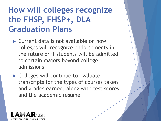#### **How will colleges recognize the FHSP, FHSP+, DLA Graduation Plans**

▶ Current data is not available on how colleges will recognize endorsements in the future or if students will be admitted to certain majors beyond college admissions

 $\blacktriangleright$  Colleges will continue to evaluate transcripts for the types of courses taken and grades earned, along with test scores and the academic resume

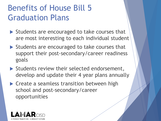#### Benefits of House Bill 5 Graduation Plans

- Students are encouraged to take courses that are most interesting to each individual student
- $\triangleright$  Students are encouraged to take courses that support their post-secondary/career readiness goals
- Students review their selected endorsement, develop and update their 4 year plans annually
- ▶ Create a seamless transition between high school and post-secondary/career opportunities

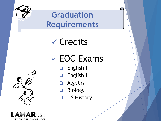

Credits

## EOC Exams

- English I
- **English II**
- Algebra
- Biology
- **US History**

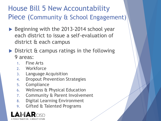#### House Bill 5 New Accountability Piece (Community & School Engagement)

- ▶ Beginning with the 2013-2014 school year each district to issue a self-evaluation of district & each campus
- $\triangleright$  District & campus ratings in the following 9 areas:
	- 1. Fine Arts
	- 2. Workforce
	- 3. Language Acquisition
	- 4. Dropout Prevention Strategies
	- 5. Compliance
	- 6. Wellness & Physical Education
	- 7. Community & Parent Involvement
	- 8. Digital Learning Environment
	- 9. Gifted & Talented Programs

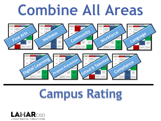# **Combine All Areas**



# **Campus Rating**

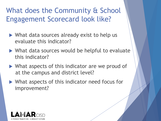#### What does the Community & School Engagement Scorecard look like?

- ▶ What data sources already exist to help us evaluate this indicator?
- ▶ What data sources would be helpful to evaluate this indicator?
- ▶ What aspects of this indicator are we proud of at the campus and district level?
- What aspects of this indicator need focus for improvement?